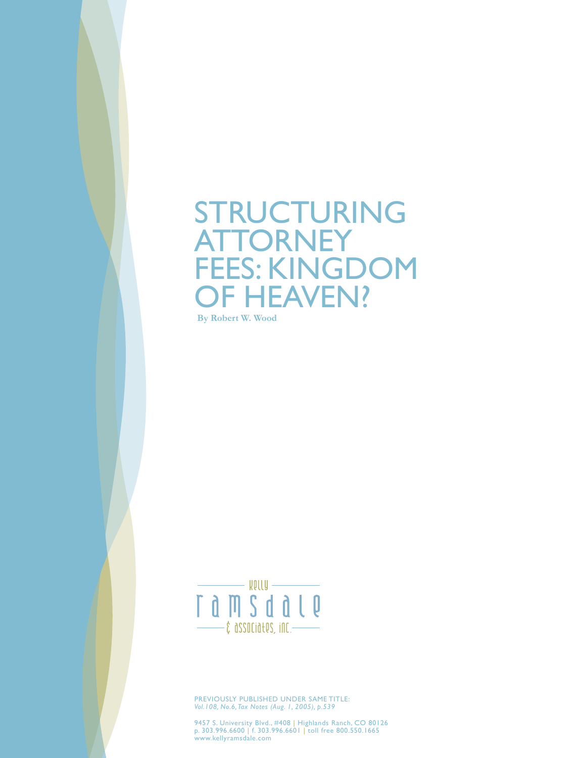# STRUCTURING **ATTORNEY** FEES: KINGDOM OF HEAVEN?

**By Robert W. Wood**



PREVIOUSLY PUBLISHED UNDER SAME TITLE: *Vol.108, No.6, Tax Notes (Aug. 1, 2005), p.539*

9457 S. University Blvd., #408 | Highlands Ranch, CO 80126 p. 303.996.6600 | f. 303.996.6601 | toll free 800.550.1665 www.kellyramsdale.com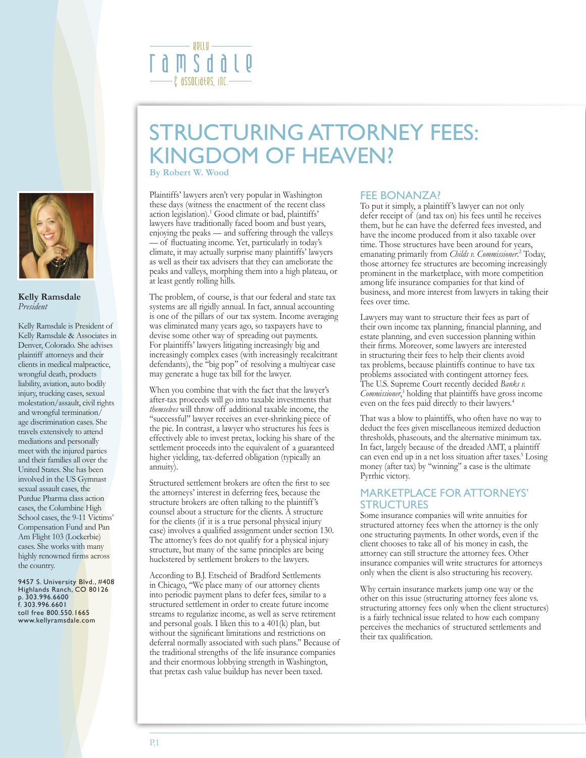

#### **Kelly Ramsdale** *President*

Kelly Ramsdale is President of Kelly Ramsdale & Associates in Denver, Colorado. She advises plaintiff attorneys and their clients in medical malpractice, wrongful death, products liability, aviation, auto bodily injury, trucking cases, sexual molestation/assault, civil rights and wrongful termination/ age discrimination cases. She travels extensively to attend mediations and personally meet with the injured parties and their families all over the United States. She has been involved in the US Gymnast sexual assault cases, the Purdue Pharma class action cases, the Columbine High School cases, the 9-11 Victims' Compensation Fund and Pan Am Flight 103 (Lockerbie) cases. She works with many highly renowned firms across the country.

9457 S. University Blvd., #408 Highlands Ranch, CO 80126 p. 303.996.6600 f. 303.996.6601 toll free 800.550.1665 www.kellyramsdale.com

# STRUCTURING ATTORNEY FEES: KINGDOM OF HEAVEN?

**By Robert W. Wood**

ROLLU –

 $-$ ĉ $\,$ associa $t$ es, inc $-$ 

r a m s d a

Plaintiffs' lawyers aren't very popular in Washington these days (witness the enactment of the recent class action legislation).1 Good climate or bad, plaintiffs' lawyers have traditionally faced boom and bust years, enjoying the peaks — and suffering through the valleys — of fluctuating income. Yet, particularly in today's climate, it may actually surprise many plaintiffs' lawyers as well as their tax advisers that they can ameliorate the peaks and valleys, morphing them into a high plateau, or at least gently rolling hills.

The problem, of course, is that our federal and state tax systems are all rigidly annual. In fact, annual accounting is one of the pillars of our tax system. Income averaging was eliminated many years ago, so taxpayers have to devise some other way of spreading out payments. For plaintiffs' lawyers litigating increasingly big and increasingly complex cases (with increasingly recalcitrant defendants), the ''big pop'' of resolving a multiyear case may generate a huge tax bill for the lawyer.

When you combine that with the fact that the lawyer's after-tax proceeds will go into taxable investments that *themselves* will throw off additional taxable income, the "successful" lawyer receives an ever-shrinking piece of the pie. In contrast, a lawyer who structures his fees is effectively able to invest pretax, locking his share of the settlement proceeds into the equivalent of a guaranteed higher yielding, tax-deferred obligation (typically an annuity).

Structured settlement brokers are often the first to see the attorneys' interest in deferring fees, because the structure brokers are often talking to the plaintiff 's counsel about a structure for the clients. A structure for the clients (if it is a true personal physical injury case) involves a qualified assignment under section 130. The attorney's fees do not qualify for a physical injury structure, but many of the same principles are being huckstered by settlement brokers to the lawyers.

According to B.J. Etscheid of Bradford Settlements in Chicago, ''We place many of our attorney clients into periodic payment plans to defer fees, similar to a structured settlement in order to create future income streams to regularize income, as well as serve retirement and personal goals. I liken this to a 401(k) plan, but without the significant limitations and restrictions on deferral normally associated with such plans.'' Because of the traditional strengths of the life insurance companies and their enormous lobbying strength in Washington, that pretax cash value buildup has never been taxed.

## FEE BONANZA?

To put it simply, a plaintiff 's lawyer can not only defer receipt of (and tax on) his fees until he receives them, but he can have the deferred fees invested, and have the income produced from it also taxable over time. Those structures have been around for years, emanating primarily from *Childs v. Commissioner*.<sup>2</sup> Today, those attorney fee structures are becoming increasingly prominent in the marketplace, with more competition among life insurance companies for that kind of business, and more interest from lawyers in taking their fees over time.

Lawyers may want to structure their fees as part of their own income tax planning, financial planning, and estate planning, and even succession planning within their firms. Moreover, some lawyers are interested in structuring their fees to help their clients avoid tax problems, because plaintiffs continue to have tax problems associated with contingent attorney fees. The U.S. Supreme Court recently decided *Banks v. Commissioner*, 3 holding that plaintiffs have gross income even on the fees paid directly to their lawyers.4

That was a blow to plaintiffs, who often have no way to deduct the fees given miscellaneous itemized deduction thresholds, phaseouts, and the alternative minimum tax. In fact, largely because of the dreaded AMT, a plaintiff can even end up in a net loss situation after taxes.<sup>5</sup> Losing money (after tax) by ''winning'' a case is the ultimate Pyrrhic victory.

## MARKETPLACE FOR ATTORNEYS' **STRUCTURES**

Some insurance companies will write annuities for structured attorney fees when the attorney is the only one structuring payments. In other words, even if the client chooses to take all of his money in cash, the attorney can still structure the attorney fees. Other insurance companies will write structures for attorneys only when the client is also structuring his recovery.

Why certain insurance markets jump one way or the other on this issue (structuring attorney fees alone vs. structuring attorney fees only when the client structures) is a fairly technical issue related to how each company perceives the mechanics of structured settlements and their tax qualification.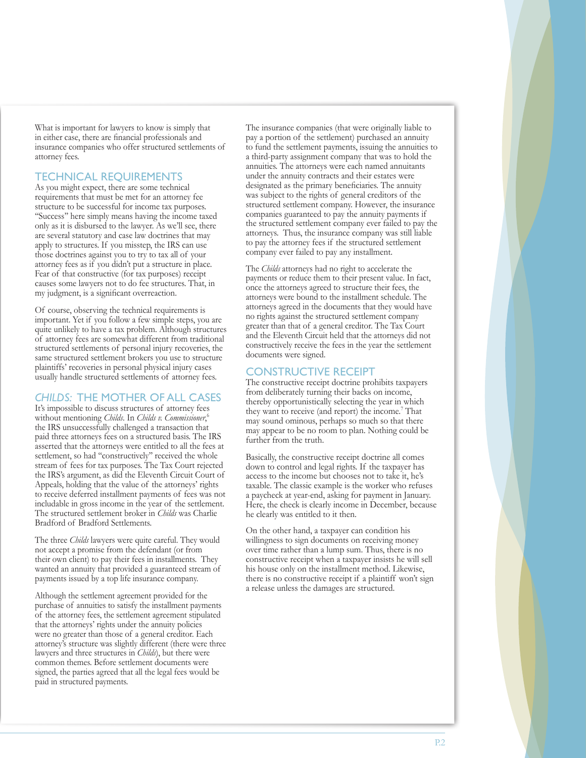What is important for lawyers to know is simply that in either case, there are financial professionals and insurance companies who offer structured settlements of attorney fees.

## TECHNICAL REQUIREMENTS

As you might expect, there are some technical requirements that must be met for an attorney fee structure to be successful for income tax purposes. ''Success'' here simply means having the income taxed only as it is disbursed to the lawyer. As we'll see, there are several statutory and case law doctrines that may apply to structures. If you misstep, the IRS can use those doctrines against you to try to tax all of your attorney fees as if you didn't put a structure in place. Fear of that constructive (for tax purposes) receipt causes some lawyers not to do fee structures. That, in my judgment, is a significant overreaction.

Of course, observing the technical requirements is important. Yet if you follow a few simple steps, you are quite unlikely to have a tax problem. Although structures of attorney fees are somewhat different from traditional structured settlements of personal injury recoveries, the same structured settlement brokers you use to structure plaintiffs' recoveries in personal physical injury cases usually handle structured settlements of attorney fees.

# *CHILDS:* THE MOTHER OF ALL CASES

It's impossible to discuss structures of attorney fees without mentioning *Childs*. In *Childs v. Commissioner*, 6 the IRS unsuccessfully challenged a transaction that paid three attorneys fees on a structured basis. The IRS asserted that the attorneys were entitled to all the fees at settlement, so had ''constructively'' received the whole stream of fees for tax purposes. The Tax Court rejected the IRS's argument, as did the Eleventh Circuit Court of Appeals, holding that the value of the attorneys' rights to receive deferred installment payments of fees was not includable in gross income in the year of the settlement. The structured settlement broker in *Childs* was Charlie Bradford of Bradford Settlements.

The three *Childs* lawyers were quite careful. They would not accept a promise from the defendant (or from their own client) to pay their fees in installments. They wanted an annuity that provided a guaranteed stream of payments issued by a top life insurance company.

Although the settlement agreement provided for the purchase of annuities to satisfy the installment payments of the attorney fees, the settlement agreement stipulated that the attorneys' rights under the annuity policies were no greater than those of a general creditor. Each attorney's structure was slightly different (there were three lawyers and three structures in *Childs*), but there were common themes. Before settlement documents were signed, the parties agreed that all the legal fees would be paid in structured payments.

The insurance companies (that were originally liable to pay a portion of the settlement) purchased an annuity to fund the settlement payments, issuing the annuities to a third-party assignment company that was to hold the annuities. The attorneys were each named annuitants under the annuity contracts and their estates were designated as the primary beneficiaries. The annuity was subject to the rights of general creditors of the structured settlement company. However, the insurance companies guaranteed to pay the annuity payments if the structured settlement company ever failed to pay the attorneys. Thus, the insurance company was still liable to pay the attorney fees if the structured settlement company ever failed to pay any installment.

The *Childs* attorneys had no right to accelerate the payments or reduce them to their present value. In fact, once the attorneys agreed to structure their fees, the attorneys were bound to the installment schedule. The attorneys agreed in the documents that they would have no rights against the structured settlement company greater than that of a general creditor. The Tax Court and the Eleventh Circuit held that the attorneys did not constructively receive the fees in the year the settlement documents were signed.

# CONSTRUCTIVE RECEIPT

The constructive receipt doctrine prohibits taxpayers from deliberately turning their backs on income, thereby opportunistically selecting the year in which they want to receive (and report) the income.7 That may sound ominous, perhaps so much so that there may appear to be no room to plan. Nothing could be further from the truth.

Basically, the constructive receipt doctrine all comes down to control and legal rights. If the taxpayer has access to the income but chooses not to take it, he's taxable. The classic example is the worker who refuses a paycheck at year-end, asking for payment in January. Here, the check is clearly income in December, because he clearly was entitled to it then.

On the other hand, a taxpayer can condition his willingness to sign documents on receiving money over time rather than a lump sum. Thus, there is no constructive receipt when a taxpayer insists he will sell his house only on the installment method. Likewise, there is no constructive receipt if a plaintiff won't sign a release unless the damages are structured.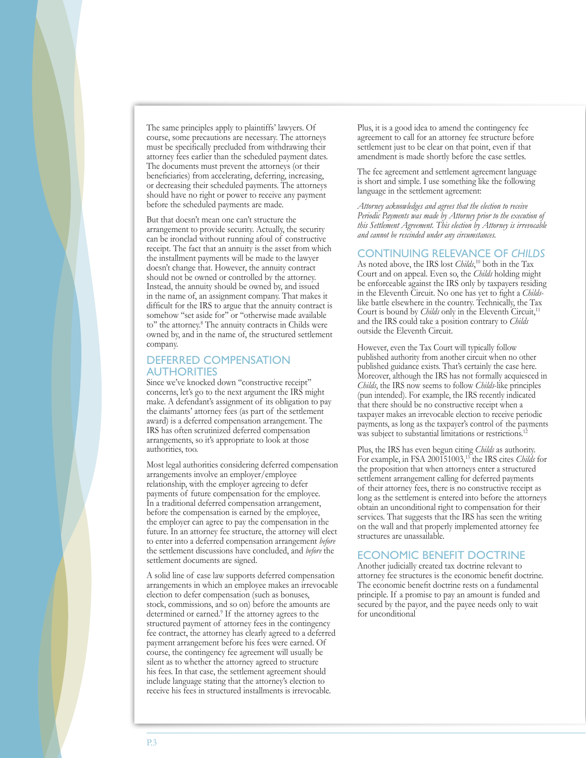The same principles apply to plaintiffs' lawyers. Of course, some precautions are necessary. The attorneys must be specifically precluded from withdrawing their attorney fees earlier than the scheduled payment dates. The documents must prevent the attorneys (or their beneficiaries) from accelerating, deferring, increasing, or decreasing their scheduled payments. The attorneys should have no right or power to receive any payment before the scheduled payments are made.

But that doesn't mean one can't structure the arrangement to provide security. Actually, the security can be ironclad without running afoul of constructive receipt. The fact that an annuity is the asset from which the installment payments will be made to the lawyer doesn't change that. However, the annuity contract should not be owned or controlled by the attorney. Instead, the annuity should be owned by, and issued in the name of, an assignment company. That makes it difficult for the IRS to argue that the annuity contract is somehow "set aside for" or "otherwise made available to'' the attorney.8 The annuity contracts in Childs were owned by, and in the name of, the structured settlement company.

#### DEFERRED COMPENSATION **AUTHORITIES**

Since we've knocked down ''constructive receipt'' concerns, let's go to the next argument the IRS might make. A defendant's assignment of its obligation to pay the claimants' attorney fees (as part of the settlement award) is a deferred compensation arrangement. The IRS has often scrutinized deferred compensation arrangements, so it's appropriate to look at those authorities, too.

Most legal authorities considering deferred compensation arrangements involve an employer/employee relationship, with the employer agreeing to defer payments of future compensation for the employee. In a traditional deferred compensation arrangement, before the compensation is earned by the employee, the employer can agree to pay the compensation in the future. In an attorney fee structure, the attorney will elect to enter into a deferred compensation arrangement *before* the settlement discussions have concluded, and *before* the settlement documents are signed.

A solid line of case law supports deferred compensation arrangements in which an employee makes an irrevocable election to defer compensation (such as bonuses, stock, commissions, and so on) before the amounts are determined or earned.<sup>9</sup> If the attorney agrees to the structured payment of attorney fees in the contingency fee contract, the attorney has clearly agreed to a deferred payment arrangement before his fees were earned. Of course, the contingency fee agreement will usually be silent as to whether the attorney agreed to structure his fees. In that case, the settlement agreement should include language stating that the attorney's election to receive his fees in structured installments is irrevocable.

Plus, it is a good idea to amend the contingency fee agreement to call for an attorney fee structure before settlement just to be clear on that point, even if that amendment is made shortly before the case settles.

The fee agreement and settlement agreement language is short and simple. I use something like the following language in the settlement agreement:

*Attorney acknowledges and agrees that the election to receive*  Periodic Payments was made by Attorney prior to the execution of *this Settlement Agreement. This election by Attorney is irrevocable and cannot be rescinded under any circumstances.*

#### CONTINUING RELEVANCE OF *CHILDS*

As noted above, the IRS lost *Childs*, <sup>10</sup> both in the Tax Court and on appeal. Even so, the *Childs* holding might be enforceable against the IRS only by taxpayers residing in the Eleventh Circuit. No one has yet to fight a *Childs*like battle elsewhere in the country. Technically, the Tax Court is bound by *Childs* only in the Eleventh Circuit,<sup>11</sup> and the IRS could take a position contrary to *Childs* outside the Eleventh Circuit.

However, even the Tax Court will typically follow published authority from another circuit when no other published guidance exists. That's certainly the case here. Moreover, although the IRS has not formally acquiesced in *Childs*, the IRS now seems to follow *Childs*-like principles (pun intended). For example, the IRS recently indicated that there should be no constructive receipt when a taxpayer makes an irrevocable election to receive periodic payments, as long as the taxpayer's control of the payments was subject to substantial limitations or restrictions.

Plus, the IRS has even begun citing *Childs* as authority. For example, in FSA 200151003,13 the IRS cites *Childs* for the proposition that when attorneys enter a structured settlement arrangement calling for deferred payments of their attorney fees, there is no constructive receipt as long as the settlement is entered into before the attorneys obtain an unconditional right to compensation for their services. That suggests that the IRS has seen the writing on the wall and that properly implemented attorney fee structures are unassailable.

#### ECONOMIC BENEFIT DOCTRINE

Another judicially created tax doctrine relevant to attorney fee structures is the economic benefit doctrine. The economic benefit doctrine rests on a fundamental principle. If a promise to pay an amount is funded and secured by the payor, and the payee needs only to wait for unconditional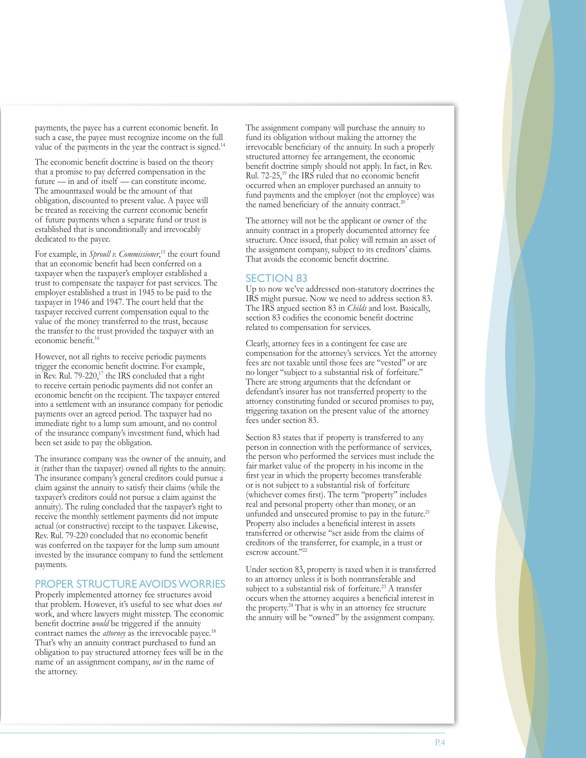payments, the payee has a current economic benefit. In such a case, the payee must recognize income on the full value of the payments in the year the contract is signed.14

The economic benefit doctrine is based on the theory that a promise to pay deferred compensation in the future — in and of itself — can constitute income. The amounttaxed would be the amount of that obligation, discounted to present value. A payee will be treated as receiving the current economic benefit of future payments when a separate fund or trust is established that is unconditionally and irrevocably dedicated to the payee.

For example, in *Sproull v. Commissioner*, 15 the court found that an economic benefit had been conferred on a taxpayer when the taxpayer's employer established a trust to compensate the taxpayer for past services. The employer established a trust in 1945 to be paid to the taxpayer in 1946 and 1947. The court held that the taxpayer received current compensation equal to the value of the money transferred to the trust, because the transfer to the trust provided the taxpayer with an economic benefit.<sup>16</sup>

However, not all rights to receive periodic payments trigger the economic benefit doctrine. For example, in Rev. Rul.  $79-220$ ,<sup>17</sup> the IRS concluded that a right to receive certain periodic payments did not confer an economic benefit on the recipient. The taxpayer entered into a settlement with an insurance company for periodic payments over an agreed period. The taxpayer had no immediate right to a lump sum amount, and no control of the insurance company's investment fund, which had been set aside to pay the obligation.

The insurance company was the owner of the annuity, and it (rather than the taxpayer) owned all rights to the annuity. The insurance company's general creditors could pursue a claim against the annuity to satisfy their claims (while the taxpayer's creditors could not pursue a claim against the annuity). The ruling concluded that the taxpayer's right to receive the monthly settlement payments did not impute actual (or constructive) receipt to the taxpayer. Likewise, Rev. Rul. 79-220 concluded that no economic benefit was conferred on the taxpayer for the lump sum amount invested by the insurance company to fund the settlement payments.

## PROPER STRUCTURE AVOIDS WORRIES

Properly implemented attorney fee structures avoid that problem. However, it's useful to see what does *not* work, and where lawyers might misstep. The economic benefit doctrine *would* be triggered if the annuity contract names the *attorney* as the irrevocable payee.<sup>18</sup> That's why an annuity contract purchased to fund an obligation to pay structured attorney fees will be in the name of an assignment company, *not* in the name of the attorney.

The assignment company will purchase the annuity to fund its obligation without making the attorney the irrevocable beneficiary of the annuity. In such a properly structured attorney fee arrangement, the economic benefit doctrine simply should not apply. In fact, in Rev. Rul. 72-25,19 the IRS ruled that no economic benefit occurred when an employer purchased an annuity to fund payments and the employer (not the employee) was the named beneficiary of the annuity contract.20

The attorney will not be the applicant or owner of the annuity contract in a properly documented attorney fee structure. Once issued, that policy will remain an asset of the assignment company, subject to its creditors' claims. That avoids the economic benefit doctrine.

# SECTION 83

Up to now we've addressed non-statutory doctrines the IRS might pursue. Now we need to address section 83. The IRS argued section 83 in *Childs* and lost. Basically, section 83 codifies the economic benefit doctrine related to compensation for services.

Clearly, attorney fees in a contingent fee case are compensation for the attorney's services. Yet the attorney fees are not taxable until those fees are ''vested'' or are no longer ''subject to a substantial risk of forfeiture.'' There are strong arguments that the defendant or defendant's insurer has not transferred property to the attorney constituting funded or secured promises to pay, triggering taxation on the present value of the attorney fees under section 83.

Section 83 states that if property is transferred to any person in connection with the performance of services, the person who performed the services must include the fair market value of the property in his income in the first year in which the property becomes transferable or is not subject to a substantial risk of forfeiture (whichever comes first). The term ''property'' includes real and personal property other than money, or an unfunded and unsecured promise to pay in the future.<sup>21</sup> Property also includes a beneficial interest in assets transferred or otherwise ''set aside from the claims of creditors of the transferrer, for example, in a trust or escrow account."<sup>22</sup>

Under section 83, property is taxed when it is transferred to an attorney unless it is both nontransferable and subject to a substantial risk of forfeiture.<sup>23</sup> A transfer occurs when the attorney acquires a beneficial interest in the property.24 That is why in an attorney fee structure the annuity will be ''owned'' by the assignment company.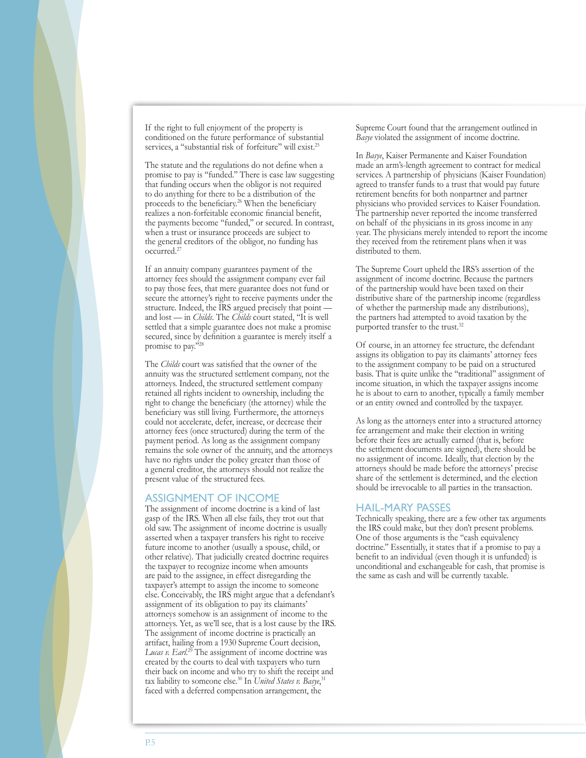If the right to full enjoyment of the property is conditioned on the future performance of substantial services, a "substantial risk of forfeiture" will exist.<sup>25</sup>

The statute and the regulations do not define when a promise to pay is ''funded.'' There is case law suggesting that funding occurs when the obligor is not required to do anything for there to be a distribution of the proceeds to the beneficiary.<sup>26</sup> When the beneficiary realizes a non-forfeitable economic financial benefit, the payments become ''funded,'' or secured. In contrast, when a trust or insurance proceeds are subject to the general creditors of the obligor, no funding has occurred.27

If an annuity company guarantees payment of the attorney fees should the assignment company ever fail to pay those fees, that mere guarantee does not fund or secure the attorney's right to receive payments under the structure. Indeed, the IRS argued precisely that point and lost — in *Childs*. The *Childs* court stated, ''It is well settled that a simple guarantee does not make a promise secured, since by definition a guarantee is merely itself a promise to pay."<sup>28</sup>

The *Childs* court was satisfied that the owner of the annuity was the structured settlement company, not the attorneys. Indeed, the structured settlement company retained all rights incident to ownership, including the right to change the beneficiary (the attorney) while the beneficiary was still living. Furthermore, the attorneys could not accelerate, defer, increase, or decrease their attorney fees (once structured) during the term of the payment period. As long as the assignment company remains the sole owner of the annuity, and the attorneys have no rights under the policy greater than those of a general creditor, the attorneys should not realize the present value of the structured fees.

#### ASSIGNMENT OF INCOME

The assignment of income doctrine is a kind of last gasp of the IRS. When all else fails, they trot out that old saw. The assignment of income doctrine is usually asserted when a taxpayer transfers his right to receive future income to another (usually a spouse, child, or other relative). That judicially created doctrine requires the taxpayer to recognize income when amounts are paid to the assignee, in effect disregarding the taxpayer's attempt to assign the income to someone else. Conceivably, the IRS might argue that a defendant's assignment of its obligation to pay its claimants' attorneys somehow is an assignment of income to the attorneys. Yet, as we'll see, that is a lost cause by the IRS. The assignment of income doctrine is practically an artifact, hailing from a 1930 Supreme Court decision, Lucas v. Earl.<sup>29</sup> The assignment of income doctrine was created by the courts to deal with taxpayers who turn their back on income and who try to shift the receipt and tax liability to someone else.<sup>30</sup> In *United States v. Basye*, 31 faced with a deferred compensation arrangement, the

Supreme Court found that the arrangement outlined in *Basye* violated the assignment of income doctrine.

In *Basye*, Kaiser Permanente and Kaiser Foundation made an arm's-length agreement to contract for medical services. A partnership of physicians (Kaiser Foundation) agreed to transfer funds to a trust that would pay future retirement benefits for both nonpartner and partner physicians who provided services to Kaiser Foundation. The partnership never reported the income transferred on behalf of the physicians in its gross income in any year. The physicians merely intended to report the income they received from the retirement plans when it was distributed to them.

The Supreme Court upheld the IRS's assertion of the assignment of income doctrine. Because the partners of the partnership would have been taxed on their distributive share of the partnership income (regardless of whether the partnership made any distributions), the partners had attempted to avoid taxation by the purported transfer to the trust.<sup>32</sup>

Of course, in an attorney fee structure, the defendant assigns its obligation to pay its claimants' attorney fees to the assignment company to be paid on a structured basis. That is quite unlike the ''traditional'' assignment of income situation, in which the taxpayer assigns income he is about to earn to another, typically a family member or an entity owned and controlled by the taxpayer.

As long as the attorneys enter into a structured attorney fee arrangement and make their election in writing before their fees are actually earned (that is, before the settlement documents are signed), there should be no assignment of income. Ideally, that election by the attorneys should be made before the attorneys' precise share of the settlement is determined, and the election should be irrevocable to all parties in the transaction.

#### HAIL-MARY PASSES

Technically speaking, there are a few other tax arguments the IRS could make, but they don't present problems. One of those arguments is the ''cash equivalency doctrine.'' Essentially, it states that if a promise to pay a benefit to an individual (even though it is unfunded) is unconditional and exchangeable for cash, that promise is the same as cash and will be currently taxable.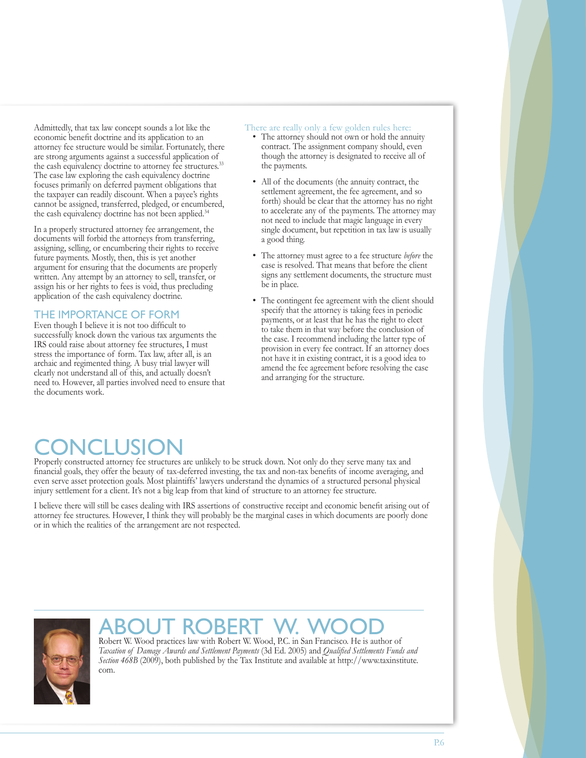Admittedly, that tax law concept sounds a lot like the economic benefit doctrine and its application to an attorney fee structure would be similar. Fortunately, there are strong arguments against a successful application of the cash equivalency doctrine to attorney fee structures.<sup>33</sup> The case law exploring the cash equivalency doctrine focuses primarily on deferred payment obligations that the taxpayer can readily discount. When a payee's rights cannot be assigned, transferred, pledged, or encumbered, the cash equivalency doctrine has not been applied.<sup>34</sup>

In a properly structured attorney fee arrangement, the documents will forbid the attorneys from transferring, assigning, selling, or encumbering their rights to receive future payments. Mostly, then, this is yet another argument for ensuring that the documents are properly written. Any attempt by an attorney to sell, transfer, or assign his or her rights to fees is void, thus precluding application of the cash equivalency doctrine.

# THE IMPORTANCE OF FORM

Even though I believe it is not too difficult to successfully knock down the various tax arguments the IRS could raise about attorney fee structures, I must stress the importance of form. Tax law, after all, is an archaic and regimented thing. A busy trial lawyer will clearly not understand all of this, and actually doesn't need to. However, all parties involved need to ensure that the documents work.

#### There are really only a few golden rules here:

- The attorney should not own or hold the annuity contract. The assignment company should, even though the attorney is designated to receive all of the payments.
- All of the documents (the annuity contract, the settlement agreement, the fee agreement, and so forth) should be clear that the attorney has no right to accelerate any of the payments. The attorney may not need to include that magic language in every single document, but repetition in tax law is usually a good thing.
- The attorney must agree to a fee structure *before* the case is resolved. That means that before the client signs any settlement documents, the structure must be in place.
- The contingent fee agreement with the client should •specify that the attorney is taking fees in periodic payments, or at least that he has the right to elect to take them in that way before the conclusion of the case. I recommend including the latter type of provision in every fee contract. If an attorney does not have it in existing contract, it is a good idea to amend the fee agreement before resolving the case and arranging for the structure.

# CONCLUSION Properly constructed attorney fee structures are unlikely to be struck down. Not only do they serve many tax and

financial goals, they offer the beauty of tax-deferred investing, the tax and non-tax benefits of income averaging, and even serve asset protection goals. Most plaintiffs' lawyers understand the dynamics of a structured personal physical injury settlement for a client. It's not a big leap from that kind of structure to an attorney fee structure.

I believe there will still be cases dealing with IRS assertions of constructive receipt and economic benefit arising out of attorney fee structures. However, I think they will probably be the marginal cases in which documents are poorly done or in which the realities of the arrangement are not respected.



# ABOUT ROBERT W. WOOD Mobert W. WOOD

*Taxation of Damage Awards and Settlement Payments* (3d Ed. 2005) and *Qualified Settlements Funds and Section 468B* (2009), both published by the Tax Institute and available at http://www.taxinstitute. com.